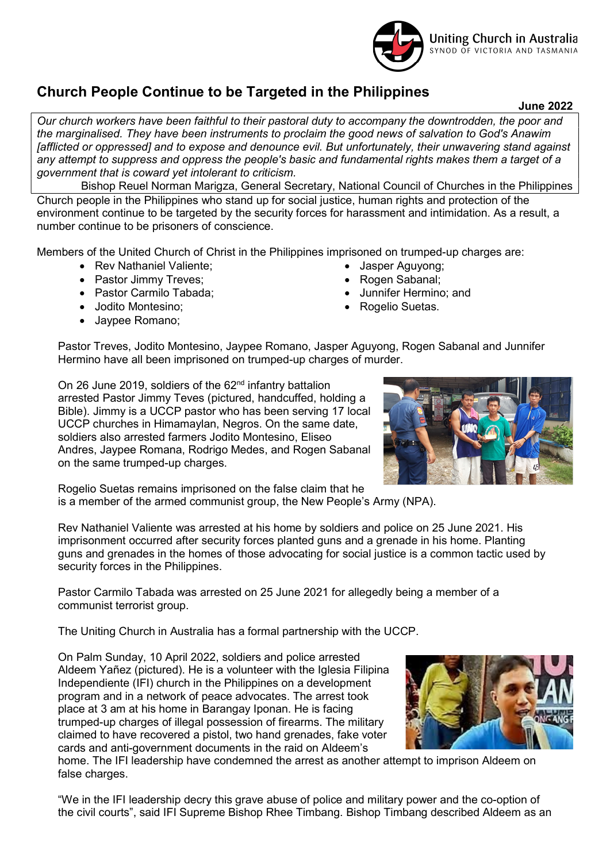

## Church People Continue to be Targeted in the Philippines

June 2022

Our church workers have been faithful to their pastoral duty to accompany the downtrodden, the poor and the marginalised. They have been instruments to proclaim the good news of salvation to God's Anawim [afflicted or oppressed] and to expose and denounce evil. But unfortunately, their unwavering stand against any attempt to suppress and oppress the people's basic and fundamental rights makes them a target of a government that is coward yet intolerant to criticism.

Bishop Reuel Norman Marigza, General Secretary, National Council of Churches in the Philippines Church people in the Philippines who stand up for social justice, human rights and protection of the environment continue to be targeted by the security forces for harassment and intimidation. As a result, a number continue to be prisoners of conscience.

Members of the United Church of Christ in the Philippines imprisoned on trumped-up charges are:

- Rev Nathaniel Valiente;
- Pastor Jimmy Treves;
- Pastor Carmilo Tabada:
- Jodito Montesino;
- Jaypee Romano;
- Jasper Aguyong; Rogen Sabanal;
- Junnifer Hermino; and
- Rogelio Suetas.

Pastor Treves, Jodito Montesino, Jaypee Romano, Jasper Aguyong, Rogen Sabanal and Junnifer Hermino have all been imprisoned on trumped-up charges of murder.

On 26 June 2019, soldiers of the  $62<sup>nd</sup>$  infantry battalion arrested Pastor Jimmy Teves (pictured, handcuffed, holding a Bible). Jimmy is a UCCP pastor who has been serving 17 local UCCP churches in Himamaylan, Negros. On the same date, soldiers also arrested farmers Jodito Montesino, Eliseo Andres, Jaypee Romana, Rodrigo Medes, and Rogen Sabanal on the same trumped-up charges.



Rogelio Suetas remains imprisoned on the false claim that he is a member of the armed communist group, the New People's Army (NPA).

Rev Nathaniel Valiente was arrested at his home by soldiers and police on 25 June 2021. His imprisonment occurred after security forces planted guns and a grenade in his home. Planting guns and grenades in the homes of those advocating for social justice is a common tactic used by security forces in the Philippines.

Pastor Carmilo Tabada was arrested on 25 June 2021 for allegedly being a member of a communist terrorist group.

The Uniting Church in Australia has a formal partnership with the UCCP.

On Palm Sunday, 10 April 2022, soldiers and police arrested Aldeem Yañez (pictured). He is a volunteer with the Iglesia Filipina Independiente (IFI) church in the Philippines on a development program and in a network of peace advocates. The arrest took place at 3 am at his home in Barangay Iponan. He is facing trumped-up charges of illegal possession of firearms. The military claimed to have recovered a pistol, two hand grenades, fake voter cards and anti-government documents in the raid on Aldeem's



home. The IFI leadership have condemned the arrest as another attempt to imprison Aldeem on false charges.

"We in the IFI leadership decry this grave abuse of police and military power and the co-option of the civil courts", said IFI Supreme Bishop Rhee Timbang. Bishop Timbang described Aldeem as an